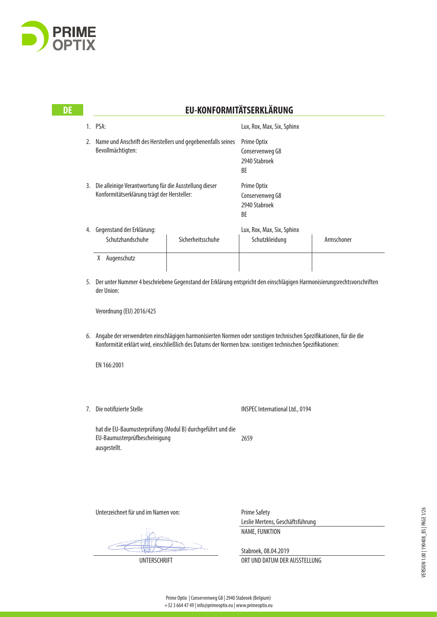

#### Lux, Rox, Max, Six, Sphinx Prime Optix Conservenweg G8 2940 Stabroek BE Prime Optix Conservenweg G8 2940 Stabroek BE Lux, Rox, Max, Six, Sphinx X Augenschutz **EU-KONFORMITÄTSERKLÄRUNG** 1. PSA: 2. Name und Anschrift des Herstellers und gegebenenfalls seines Bevollmächtigten: 3. Die alleinige Verantwortung für die Ausstellung dieser Konformitätserklärung trägt der Hersteller: 4. Gegenstand der Erklärung: Schutzhandschuhe | Sicherheitsschuhe | Schutzkleidung | Armschoner

5. Der unter Nummer 4 beschriebene Gegenstand der Erklärung entspricht den einschlägigen Harmonisierungsrechtsvorschriften der Union:

Verordnung (EU) 2016/425

6. Angabe der verwendeten einschlägigen harmonisierten Normen oder sonstigen technischen Spezifikationen, für die die Konformität erklärt wird, einschließlich des Datums der Normen bzw. sonstigen technischen Spezifikationen:

EN 166:2001

7. Die notifizierte Stelle

INSPEC International Ltd., 0194

2659 hat die EU-Baumusterprüfung (Modul B) durchgeführt und die EU-Baumusterprüfbescheinigung ausgestellt.

Unterzeichnet für und im Namen von:

Prime Safety Leslie Mertens, Geschäftsführung NAME, FUNKTION

Stabroek, 08.04.2019 UNTERSCHRIFT ORT UND DATUM DER AUSSTELLUNG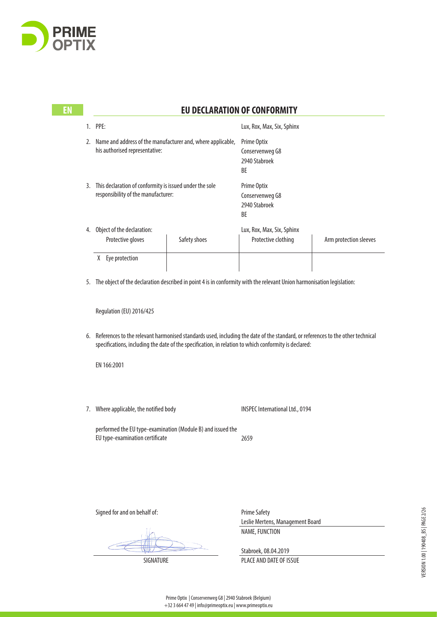

**EN** 

|    |                                                                                                                                                                                                 |              | <b>EU DECLARATION OF CONFORMITY</b>                   |                        |
|----|-------------------------------------------------------------------------------------------------------------------------------------------------------------------------------------------------|--------------|-------------------------------------------------------|------------------------|
|    | PPE:                                                                                                                                                                                            |              | Lux, Rox, Max, Six, Sphinx                            |                        |
| 2. | Name and address of the manufacturer and, where applicable,<br>his authorised representative:<br>This declaration of conformity is issued under the sole<br>responsibility of the manufacturer: |              | Prime Optix<br>Conservenweg G8<br>2940 Stabroek<br>BE |                        |
| 3. |                                                                                                                                                                                                 |              | Prime Optix<br>Conservenweg G8<br>2940 Stabroek<br>BE |                        |
| 4. | Object of the declaration:<br>Protective gloves                                                                                                                                                 | Safety shoes | Lux, Rox, Max, Six, Sphinx<br>Protective clothing     | Arm protection sleeves |
|    | X<br>Eye protection                                                                                                                                                                             |              |                                                       |                        |

5. The object of the declaration described in point 4 is in conformity with the relevant Union harmonisation legislation:

Regulation (EU) 2016/425

6. References to the relevant harmonised standards used, including the date of the standard, or references to the other technical specifications, including the date of the specification, in relation to which conformity is declared:

EN 166:2001

7. Where applicable, the notified body

INSPEC International Ltd., 0194

performed the EU type-examination (Module B) and issued the EU type-examination certificate

2659

Signed for and on behalf of:

Prime Safety Leslie Mertens, Management Board NAME, FUNCTION

Stabroek, 08.04.2019

SIGNATURE PLACE AND DATE OF ISSUE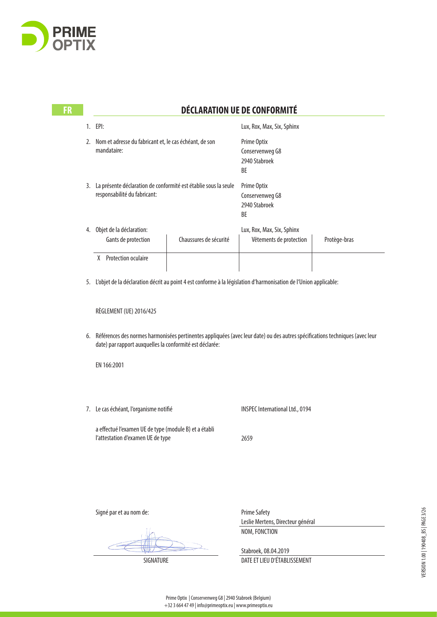

**ER** 

|    | 1. EPI:                                                                                         |                        | Lux, Rox, Max, Six, Sphinx                                                                                                   |              |
|----|-------------------------------------------------------------------------------------------------|------------------------|------------------------------------------------------------------------------------------------------------------------------|--------------|
| 2. | Nom et adresse du fabricant et, le cas échéant, de son<br>mandataire:                           |                        | Prime Optix<br>Conservenweg G8<br>2940 Stabroek<br><b>BF</b>                                                                 |              |
| 3. | La présente déclaration de conformité est établie sous la seule<br>responsabilité du fabricant: |                        | Prime Optix<br>Conservenweg G8<br>2940 Stabroek<br><b>BF</b>                                                                 |              |
|    | 4. Objet de la déclaration:<br>Gants de protection                                              | Chaussures de sécurité | Lux, Rox, Max, Six, Sphinx<br>Vêtements de protection                                                                        | Protège-bras |
|    | X Protection oculaire                                                                           |                        |                                                                                                                              |              |
| 5. |                                                                                                 |                        | L'objet de la déclaration décrit au point 4 est conforme à la législation d'harmonisation de l'Union applicable:             |              |
|    | RÈGLEMENT (UE) 2016/425                                                                         |                        |                                                                                                                              |              |
| 6. | date) par rapport auxquelles la conformité est déclarée:                                        |                        | Références des normes harmonisées pertinentes appliquées (avec leur date) ou des autres spécifications techniques (avec leur |              |

**FR DÉCLARATION UE DE CONFORMITÉ**

EN 166:2001

7. Le cas échéant, l'organisme notifié

INSPEC International Ltd., 0194

a effectué l'examen UE de type (module B) et a établi l'attestation d'examen UE de type

2659

Signé par et au nom de:

Prime Safety Leslie Mertens, Directeur général NOM, FONCTION

Stabroek, 08.04.2019 SIGNATURE DATE ET LIEU D'ÉTABLISSEMENT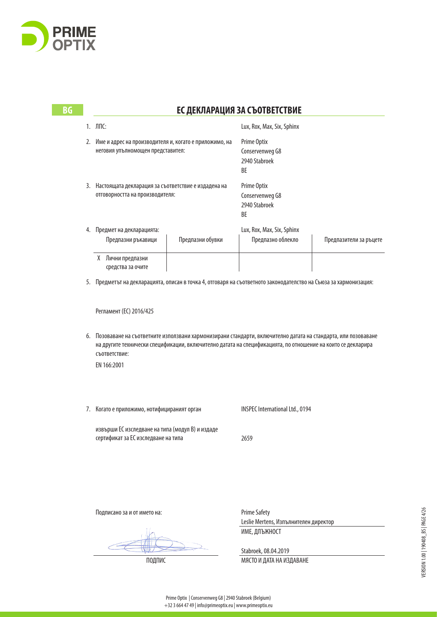

| BG |                                                                                           | ЕС ДЕКЛАРАЦИЯ ЗА СЪОТВЕТСТВИЕ                                                                                                                                                                                                                                 |                                                       |                                                       |                        |  |
|----|-------------------------------------------------------------------------------------------|---------------------------------------------------------------------------------------------------------------------------------------------------------------------------------------------------------------------------------------------------------------|-------------------------------------------------------|-------------------------------------------------------|------------------------|--|
|    |                                                                                           | 1. ЛПС:                                                                                                                                                                                                                                                       |                                                       | Lux, Rox, Max, Six, Sphinx                            |                        |  |
|    | 2.                                                                                        | Име и адрес на производителя и, когато е приложимо, на<br>неговия упълномощен представител:                                                                                                                                                                   |                                                       | Prime Optix<br>Conservenweg G8<br>2940 Stabroek<br>BE |                        |  |
|    | 3. Настоящата декларация за съответствие е издадена на<br>отговорността на производителя: |                                                                                                                                                                                                                                                               | Prime Optix<br>Conservenweg G8<br>2940 Stabroek<br>BE |                                                       |                        |  |
|    |                                                                                           | 4. Предмет на декларацията:<br>Предпазни ръкавици                                                                                                                                                                                                             | Предпазни обувки                                      | Lux, Rox, Max, Six, Sphinx<br>Предпазно облекло       | Предпазители за ръцете |  |
|    |                                                                                           | Х Лични предпазни<br>средства за очите                                                                                                                                                                                                                        |                                                       |                                                       |                        |  |
|    | 5.                                                                                        | Предметът на декларацията, описан в точка 4, отговаря на съответното законодателство на Съюза за хармонизация:                                                                                                                                                |                                                       |                                                       |                        |  |
|    |                                                                                           | Регламент (EC) 2016/425                                                                                                                                                                                                                                       |                                                       |                                                       |                        |  |
|    | 6.                                                                                        | Позоваване на съответните използвани хармонизирани стандарти, включително датата на стандарта, или позоваване<br>на другите технически спецификации, включително датата на спецификацията, по отношение на които се декларира<br>съответствие:<br>EN 166:2001 |                                                       |                                                       |                        |  |
|    |                                                                                           | 7. Когато е приложимо, нотифицираният орган                                                                                                                                                                                                                   |                                                       | INSPEC International Ltd., 0194                       |                        |  |
|    |                                                                                           | извърши ЕС изследване на типа (модул В) и издаде<br>сертификат за ЕС изследване на типа                                                                                                                                                                       |                                                       | 2659                                                  |                        |  |
|    |                                                                                           |                                                                                                                                                                                                                                                               |                                                       |                                                       |                        |  |
|    |                                                                                           | Подписано за и от името на:                                                                                                                                                                                                                                   |                                                       | <b>Prime Safety</b>                                   |                        |  |

 $\overline{C}$ 

Leslie Mertens, Изпълнителен директор ИМЕ, ДЛЪЖНОСТ

Stabroek, 08.04.2019 ПОДПИС ПОД ПОД ПОД ПОД ТАКА НА ИЗДАВАНЕ VERSION 1.00 | 190408\_BS | PAGE 4/26 VERSION 1.00 | 190408\_BS | PAGE 4/26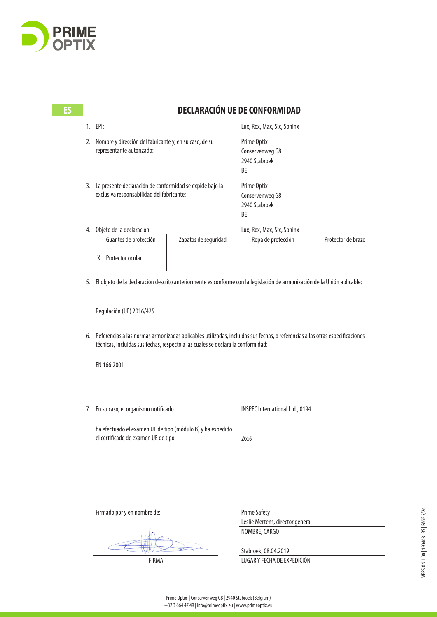

| ES |    | <b>DECLARACIÓN UE DE CONFORMIDAD</b>                                                                                                                                                                                |                                                                                                                |                    |  |  |
|----|----|---------------------------------------------------------------------------------------------------------------------------------------------------------------------------------------------------------------------|----------------------------------------------------------------------------------------------------------------|--------------------|--|--|
|    |    | 1. EPI:                                                                                                                                                                                                             | Lux, Rox, Max, Six, Sphinx                                                                                     |                    |  |  |
|    | 2. | Nombre y dirección del fabricante y, en su caso, de su<br>representante autorizado:                                                                                                                                 | Prime Optix<br>Conservenweg G8<br>2940 Stabroek<br>BE<br>Prime Optix<br>Conservenweg G8<br>2940 Stabroek<br>BE |                    |  |  |
|    |    | 3. La presente declaración de conformidad se expide bajo la<br>exclusiva responsabilidad del fabricante:                                                                                                            |                                                                                                                |                    |  |  |
|    |    | 4. Objeto de la declaración<br>Guantes de protección<br>Zapatos de seguridad                                                                                                                                        | Lux, Rox, Max, Six, Sphinx<br>Ropa de protección                                                               | Protector de brazo |  |  |
|    |    | X Protector ocular                                                                                                                                                                                                  |                                                                                                                |                    |  |  |
|    |    | 5. El objeto de la declaración descrito anteriormente es conforme con la legislación de armonización de la Unión aplicable:                                                                                         |                                                                                                                |                    |  |  |
|    |    | Regulación (UE) 2016/425                                                                                                                                                                                            |                                                                                                                |                    |  |  |
|    |    | 6. Referencias a las normas armonizadas aplicables utilizadas, incluidas sus fechas, o referencias a las otras especificaciones<br>técnicas, incluidas sus fechas, respecto a las cuales se declara la conformidad: |                                                                                                                |                    |  |  |
|    |    | EN 166:2001                                                                                                                                                                                                         |                                                                                                                |                    |  |  |
|    |    |                                                                                                                                                                                                                     |                                                                                                                |                    |  |  |
|    |    | 7. En su caso, el organismo notificado                                                                                                                                                                              | <b>INSPEC International Ltd., 0194</b>                                                                         |                    |  |  |
|    |    | ha efectuado el examen UE de tipo (módulo B) y ha expedido<br>el certificado de examen UE de tipo                                                                                                                   | 2659                                                                                                           |                    |  |  |

Firmado por y en nombre de:

Prime Safety Leslie Mertens, director general NOMBRE, CARGO

Stabroek, 08.04.2019

FIRMA LUGAR Y FECHA DE EXPEDICIÓN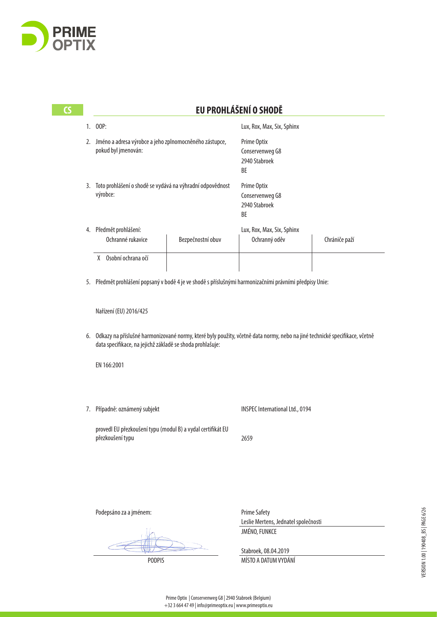

| CS | EU PROHLÁŠENÍ O SHODĚ                                                                                   |                                                                                                                                                                                         |                   |                                                       |               |  |
|----|---------------------------------------------------------------------------------------------------------|-----------------------------------------------------------------------------------------------------------------------------------------------------------------------------------------|-------------------|-------------------------------------------------------|---------------|--|
|    | 1.                                                                                                      | 00P:                                                                                                                                                                                    |                   | Lux, Rox, Max, Six, Sphinx                            |               |  |
|    |                                                                                                         | 2. Jméno a adresa výrobce a jeho zplnomocněného zástupce,<br>pokud byl jmenován:<br>Toto prohlášení o shodě se vydává na výhradní odpovědnost<br>výrobce:                               |                   | Prime Optix<br>Conservenweg G8<br>2940 Stabroek<br>BE |               |  |
|    | 3.                                                                                                      |                                                                                                                                                                                         |                   | Prime Optix<br>Conservenweg G8<br>2940 Stabroek<br>BE |               |  |
|    | 4.                                                                                                      | Předmět prohlášení:<br>Ochranné rukavice                                                                                                                                                | Bezpečnostní obuv | Lux, Rox, Max, Six, Sphinx<br>Ochranný oděv           | Chrániče paží |  |
|    |                                                                                                         | X Osobní ochrana očí                                                                                                                                                                    |                   |                                                       |               |  |
|    | 5. Předmět prohlášení popsaný v bodě 4 je ve shodě s příslušnými harmonizačními právními předpisy Unie: |                                                                                                                                                                                         |                   |                                                       |               |  |
|    |                                                                                                         | Nařízení (EU) 2016/425                                                                                                                                                                  |                   |                                                       |               |  |
|    | 6.                                                                                                      | Odkazy na příslušné harmonizované normy, které byly použity, včetně data normy, nebo na jiné technické specifikace, včetně<br>data specifikace, na jejichž základě se shoda prohlašuje: |                   |                                                       |               |  |
|    |                                                                                                         | EN 166:2001                                                                                                                                                                             |                   |                                                       |               |  |
|    | 7.                                                                                                      | Případně: oznámený subjekt                                                                                                                                                              |                   | <b>INSPEC International Ltd., 0194</b>                |               |  |
|    |                                                                                                         | provedl EU přezkoušení typu (modul B) a vydal certifikát EU<br>přezkoušení typu                                                                                                         |                   | 2659                                                  |               |  |
|    |                                                                                                         |                                                                                                                                                                                         |                   |                                                       |               |  |
|    |                                                                                                         |                                                                                                                                                                                         |                   |                                                       |               |  |
|    |                                                                                                         |                                                                                                                                                                                         |                   |                                                       |               |  |

Podepsáno za a jménem:

Prime Safety Leslie Mertens, Jednatel společnosti JMÉNO, FUNKCE

Stabroek, 08.04.2019 PODPIS MÍSTO A DATUM VYDÁNÍ VERSION 1.00 | 190408\_BS | PAGE 6/26 VERSION 1.00 | 190408\_BS | PAGE 6/26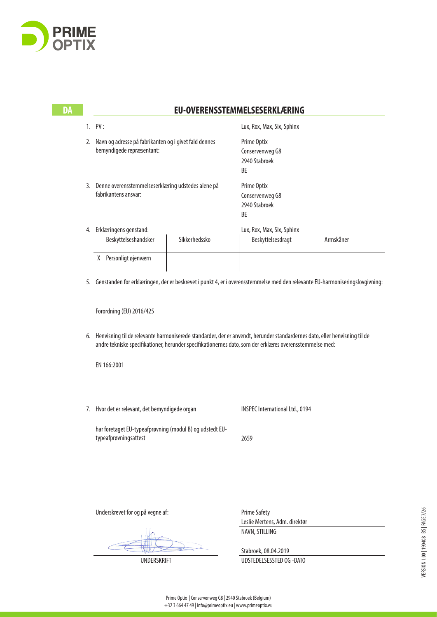

| <b>DA</b> |                                                                                                                                                                                                                                              | <b>EU-OVERENSSTEMMELSESERKLÆRING</b>                                               |               |                                                                                                                                 |           |  |
|-----------|----------------------------------------------------------------------------------------------------------------------------------------------------------------------------------------------------------------------------------------------|------------------------------------------------------------------------------------|---------------|---------------------------------------------------------------------------------------------------------------------------------|-----------|--|
|           |                                                                                                                                                                                                                                              | 1. PV:                                                                             |               | Lux, Rox, Max, Six, Sphinx                                                                                                      |           |  |
|           | 2.                                                                                                                                                                                                                                           | Navn og adresse på fabrikanten og i givet fald dennes<br>bemyndigede repræsentant: |               | Prime Optix<br>Conservenweg G8<br>2940 Stabroek<br>BE                                                                           |           |  |
|           | 3.                                                                                                                                                                                                                                           | Denne overensstemmelseserklæring udstedes alene på<br>fabrikantens ansvar:         |               | Prime Optix<br>Conservenweg G8<br>2940 Stabroek<br>BE                                                                           |           |  |
|           |                                                                                                                                                                                                                                              | 4. Erklæringens genstand:                                                          |               | Lux, Rox, Max, Six, Sphinx                                                                                                      |           |  |
|           |                                                                                                                                                                                                                                              | Beskyttelseshandsker                                                               | Sikkerhedssko | Beskyttelsesdragt                                                                                                               | Armskåner |  |
|           |                                                                                                                                                                                                                                              | X Personligt øjenværn                                                              |               |                                                                                                                                 |           |  |
|           |                                                                                                                                                                                                                                              |                                                                                    |               | 5. Genstanden for erklæringen, der er beskrevet i punkt 4, er i overensstemmelse med den relevante EU-harmoniseringslovgivning: |           |  |
|           |                                                                                                                                                                                                                                              | Forordning (EU) 2016/425                                                           |               |                                                                                                                                 |           |  |
|           | Henvisning til de relevante harmoniserede standarder, der er anvendt, herunder standardernes dato, eller henvisning til de<br>6.<br>andre tekniske specifikationer, herunder specifikationernes dato, som der erklæres overensstemmelse med: |                                                                                    |               |                                                                                                                                 |           |  |
|           |                                                                                                                                                                                                                                              | EN 166:2001                                                                        |               |                                                                                                                                 |           |  |
|           |                                                                                                                                                                                                                                              |                                                                                    |               |                                                                                                                                 |           |  |
|           |                                                                                                                                                                                                                                              |                                                                                    |               |                                                                                                                                 |           |  |
|           |                                                                                                                                                                                                                                              |                                                                                    |               |                                                                                                                                 |           |  |

har foretaget EU-typeafprøvning (modul B) og udstedt EUtypeafprøvningsattest

7. Hvor det er relevant, det bemyndigede organ

2659

Underskrevet for og på vegne af:

Prime Safety Leslie Mertens, Adm. direktør NAVN, STILLING

INSPEC International Ltd., 0194

Stabroek, 08.04.2019

UNDERSKRIFT UDSTEDELSESSTED OG -DATO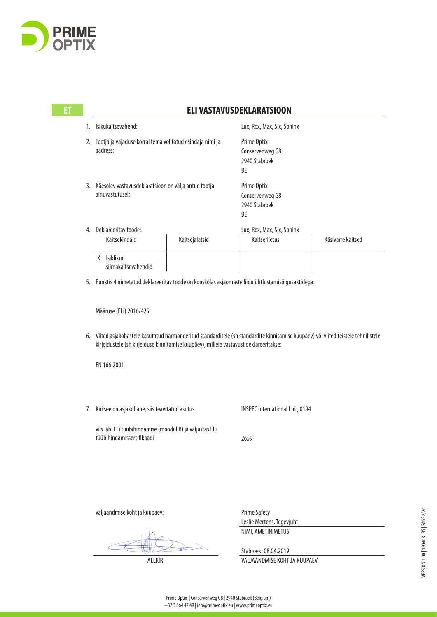

| 1. | Isikukaitsevahend:                                                                                                                                                                                                           |                | Lux, Rox, Max, Six, Sphinx                                                                                     |                   |  |
|----|------------------------------------------------------------------------------------------------------------------------------------------------------------------------------------------------------------------------------|----------------|----------------------------------------------------------------------------------------------------------------|-------------------|--|
|    | 2. Tootja ja vajaduse korral tema volitatud esindaja nimi ja<br>aadress:<br>3. Käesolev vastavusdeklaratsioon on välja antud tootja<br>ainuvastutusel:                                                                       |                | Prime Optix<br>Conservenweg G8<br>2940 Stabroek<br>ВF<br>Prime Optix<br>Conservenweg G8<br>2940 Stabroek<br>BE |                   |  |
|    |                                                                                                                                                                                                                              |                |                                                                                                                |                   |  |
| 4. | Deklareeritav toode:<br>Kaitsekindaid                                                                                                                                                                                        | Kaitsejalatsid | Lux, Rox, Max, Six, Sphinx<br><b>Kaitseriietus</b>                                                             | Käsivarre kaitsed |  |
|    | X Isiklikud<br>silmakaitsevahendid                                                                                                                                                                                           |                |                                                                                                                |                   |  |
|    | 5. Punktis 4 nimetatud deklareeritav toode on kooskõlas asjaomaste liidu ühtlustamisõigusaktidega:                                                                                                                           |                |                                                                                                                |                   |  |
|    | Määruse (ELi) 2016/425                                                                                                                                                                                                       |                |                                                                                                                |                   |  |
|    | 6. Viited asjakohastele kasutatud harmoneeritud standarditele (sh standardite kinnitamise kuupäev) või viited teistele tehnilistele<br>kirjeldustele (sh kirjelduse kinnitamise kuupäev), millele vastavust deklareeritakse: |                |                                                                                                                |                   |  |
|    | EN 166:2001                                                                                                                                                                                                                  |                |                                                                                                                |                   |  |
|    | 7. Kui see on asjakohane, siis teavitatud asutus                                                                                                                                                                             |                | <b>INSPEC International Ltd., 0194</b>                                                                         |                   |  |
|    | viis läbi ELi tüübihindamise (moodul B) ja väljastas ELi<br>tüübihindamissertifikaadi                                                                                                                                        |                | 2659                                                                                                           |                   |  |
|    |                                                                                                                                                                                                                              |                |                                                                                                                |                   |  |
|    |                                                                                                                                                                                                                              |                |                                                                                                                |                   |  |

Prime Safety Leslie Mertens, Tegevjuht NIMI, AMETINIMETUS

Stabroek, 08.04.2019

ALLKIRI VÄLJAANDMISE KOHT JA KUUPÄEV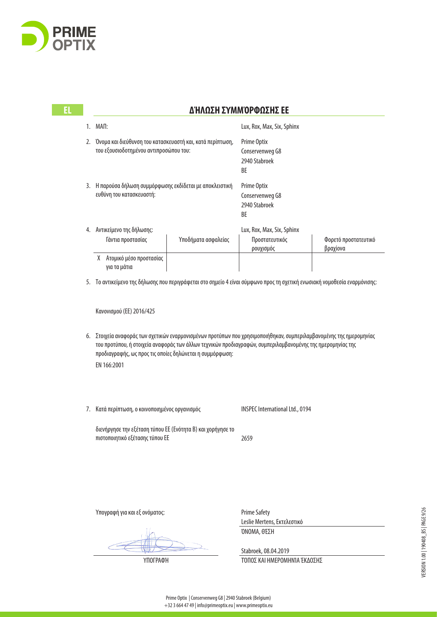

## **EL ΔΉΛΩΣΗ ΣΥΜΜΌΡΦΩΣΗΣ ΕΕ**

|    | MAП:                                                                                                |                     | Lux, Rox, Max, Six, Sphinx                            |                                  |  |
|----|-----------------------------------------------------------------------------------------------------|---------------------|-------------------------------------------------------|----------------------------------|--|
| 2. | Όνομα και διεύθυνση του κατασκευαστή και, κατά περίπτωση,<br>του εξουσιοδοτημένου αντιπροσώπου του: |                     | Prime Optix<br>Conservenweg G8<br>2940 Stabroek<br>BE |                                  |  |
| 3. | Η παρούσα δήλωση συμμόρφωσης εκδίδεται με αποκλειστική<br>ευθύνη του κατασκευαστή:                  |                     | Prime Optix<br>Conservenweg G8<br>2940 Stabroek<br>BE |                                  |  |
| 4. | Αντικείμενο της δήλωσης:                                                                            |                     | Lux, Rox, Max, Six, Sphinx                            |                                  |  |
|    | Γάντια προστασίας                                                                                   | Υποδήματα ασφαλείας | Προστατευτικός<br>ρουχισμός                           | Φορετό προστατευτικό<br>βραχίονα |  |
|    | Ατομικό μέσο προστασίας                                                                             |                     |                                                       |                                  |  |

για τα μάτια

5. Το αντικείμενο της δήλωσης που περιγράφεται στο σημείο 4 είναι σύμφωνο προς τη σχετική ενωσιακή νομοθεσία εναρμόνισης:

Κανονισμού (EE) 2016/425

- 6. Στοιχεία αναφοράς των σχετικών εναρμονισμένων προτύπων που χρησιμοποιήθηκαν, συμπεριλαμβανομένης της ημερομηνίας του προτύπου, ή στοιχεία αναφοράς των άλλων τεχνικών προδιαγραφών, συμπεριλαμβανομένης της ημερομηνίας της προδιαγραφής, ως προς τις οποίες δηλώνεται η συμμόρφωση:
	- EN 166:2001
- 7. Κατά περίπτωση, ο κοινοποιημένος οργανισμός

INSPEC International Ltd., 0194

διενήργησε την εξέταση τύπου ΕΕ (Ενότητα B) και χορήγησε το πιστοποιητικό εξέτασης τύπου ΕΕ

2659

Υπογραφή για και εξ ονόματος:

Prime Safety Leslie Mertens, Εκτελεστικό ΌΝΟΜΑ, ΘΈΣΗ

Stabroek, 08.04.2019

ΥΠΟΓΡΑΦΉ ΤΌΠΟΣ ΚΑΙ ΗΜΕΡΟΜΗΝΊΑ ΈΚΔΟΣΗΣ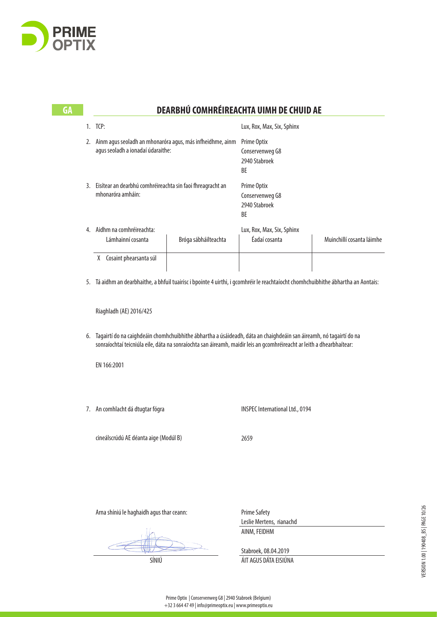

| GΑ |                                                  |                                                                                                                                                                                           |                      | DEARBHÚ COMHRÉIREACHTA UIMH DE CHUID AE                                                                               |                           |  |
|----|--------------------------------------------------|-------------------------------------------------------------------------------------------------------------------------------------------------------------------------------------------|----------------------|-----------------------------------------------------------------------------------------------------------------------|---------------------------|--|
|    |                                                  | 1. TCP:                                                                                                                                                                                   |                      | Lux, Rox, Max, Six, Sphinx                                                                                            |                           |  |
|    |                                                  | 2. Ainm agus seoladh an mhonaróra agus, más infheidhme, ainm<br>agus seoladh a ionadaí údaraithe:<br>3. Eisítear an dearbhú comhréireachta sin faoi fhreagracht an<br>mhonaróra amháin:   |                      | Prime Optix<br>Conservenweg G8<br>2940 Stabroek<br>BE<br>Prime Optix<br>Conservenweg G8<br>2940 Stabroek<br>BE        |                           |  |
|    |                                                  |                                                                                                                                                                                           |                      |                                                                                                                       |                           |  |
|    | 4. Aidhm na comhréireachta:<br>Lámhainní cosanta |                                                                                                                                                                                           | Bróga sábháilteachta | Lux, Rox, Max, Six, Sphinx<br>Éadaí cosanta                                                                           | Muinchillí cosanta láimhe |  |
|    |                                                  | X Cosaint phearsanta súl<br>5. Tá aidhm an dearbhaithe, a bhfuil tuairisc i bpointe 4 uirthi, i gcomhréir le reachtaíocht chomhchuibhithe ábhartha an Aontais:<br>Riaghladh (AE) 2016/425 |                      |                                                                                                                       |                           |  |
|    | 6.                                               | Tagairtí do na caighdeáin chomhchuibhithe ábhartha a úsáideadh, dáta an chaighdeáin san áireamh, nó tagairtí do na<br>EN 166:2001                                                         |                      | sonraíochtaí teicniúla eile, dáta na sonraíochta san áireamh, maidir leis an gcomhréireacht ar leith a dhearbhaítear: |                           |  |
|    |                                                  | 7. An comhlacht dá dtugtar fógra                                                                                                                                                          |                      | <b>INSPEC International Ltd., 0194</b>                                                                                |                           |  |
|    |                                                  | cineálscrúdú AE déanta aige (Modúl B)                                                                                                                                                     |                      | 2659                                                                                                                  |                           |  |
|    |                                                  |                                                                                                                                                                                           |                      |                                                                                                                       |                           |  |

Arna shíniú le haghaidh agus thar ceann:

Prime Safety Leslie Mertens, rianachd AINM, FEIDHM

Stabroek, 08.04.2019 SÍNIÚ ÁIT AGUS DÁTA EISIÚNA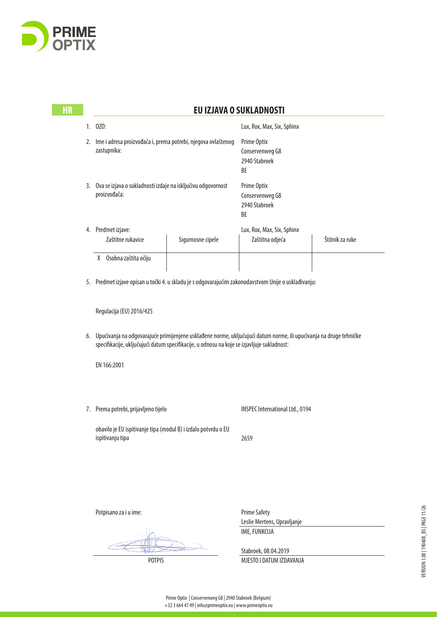

| <b>HR</b> | <b>EU IZJAVA O SUKLADNOSTI</b> |                                                                                                                                                                                                                                                                                                                                                                                                                                                                                                      |                   |                                                                                                                |                 |  |
|-----------|--------------------------------|------------------------------------------------------------------------------------------------------------------------------------------------------------------------------------------------------------------------------------------------------------------------------------------------------------------------------------------------------------------------------------------------------------------------------------------------------------------------------------------------------|-------------------|----------------------------------------------------------------------------------------------------------------|-----------------|--|
|           |                                | 1. 0Z0:                                                                                                                                                                                                                                                                                                                                                                                                                                                                                              |                   | Lux, Rox, Max, Six, Sphinx                                                                                     |                 |  |
|           |                                | 2. Ime i adresa proizvođača i, prema potrebi, njegova ovlaštenog<br>zastupnika:<br>3. Ova se izjava o sukladnosti izdaje na isključivu odgovornost<br>proizvođača:                                                                                                                                                                                                                                                                                                                                   |                   | Prime Optix<br>Conservenweg G8<br>2940 Stabroek<br>BE<br>Prime Optix<br>Conservenweg G8<br>2940 Stabroek<br>BE |                 |  |
|           |                                |                                                                                                                                                                                                                                                                                                                                                                                                                                                                                                      |                   |                                                                                                                |                 |  |
|           |                                | 4. Predmet izjave:<br>Zaštitne rukavice                                                                                                                                                                                                                                                                                                                                                                                                                                                              | Sigurnosne cipele | Lux, Rox, Max, Six, Sphinx<br>Zaštitna odjeća                                                                  | Štitnik za ruke |  |
|           |                                | X Osobna zaštita očiju                                                                                                                                                                                                                                                                                                                                                                                                                                                                               |                   |                                                                                                                |                 |  |
|           |                                | 5. Predmet izjave opisan u točki 4. u skladu je s odgovarajućim zakonodavstvom Unije o usklađivanju:<br>Regulacija (EU) 2016/425<br>6. Upućivanja na odgovarajuće primijenjene usklađene norme, uključujući datum norme, ili upućivanja na druge tehničke<br>specifikacije, uključujući datum specifikacije, u odnosu na koje se izjavljuje sukladnost:<br>EN 166:2001<br>7. Prema potrebi, prijavljeno tijelo<br>obavilo je EU ispitivanje tipa (modul B) i izdalo potvrdu o EU<br>ispitivanju tipa |                   |                                                                                                                |                 |  |
|           |                                |                                                                                                                                                                                                                                                                                                                                                                                                                                                                                                      |                   |                                                                                                                |                 |  |
|           |                                |                                                                                                                                                                                                                                                                                                                                                                                                                                                                                                      |                   |                                                                                                                |                 |  |
|           |                                |                                                                                                                                                                                                                                                                                                                                                                                                                                                                                                      |                   |                                                                                                                |                 |  |
|           |                                |                                                                                                                                                                                                                                                                                                                                                                                                                                                                                                      |                   | <b>INSPEC International Ltd., 0194</b>                                                                         |                 |  |
|           |                                |                                                                                                                                                                                                                                                                                                                                                                                                                                                                                                      |                   | 2659                                                                                                           |                 |  |
|           |                                |                                                                                                                                                                                                                                                                                                                                                                                                                                                                                                      |                   |                                                                                                                |                 |  |
|           |                                | Potpisano za i u ime:                                                                                                                                                                                                                                                                                                                                                                                                                                                                                |                   | <b>Prime Safety</b><br>Leslie Mertens, Upravljanje                                                             |                 |  |
|           |                                |                                                                                                                                                                                                                                                                                                                                                                                                                                                                                                      |                   | IME, FUNKCIJA                                                                                                  |                 |  |

Stabroek, 08.04.2019 POTPIS MJESTO I DATUM IZDAVANJA

 $\subset$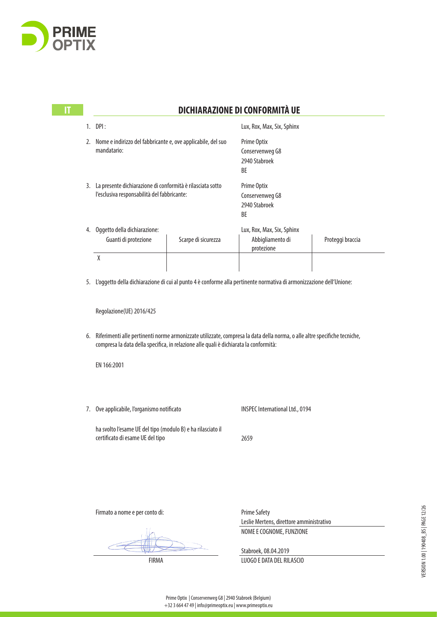

|    | DPI:                                                         |                     | Lux, Rox, Max, Six, Sphinx |                  |
|----|--------------------------------------------------------------|---------------------|----------------------------|------------------|
| 2. | Nome e indirizzo del fabbricante e, ove applicabile, del suo |                     | Prime Optix                |                  |
|    | mandatario:                                                  |                     | Conservenweg G8            |                  |
|    |                                                              |                     | 2940 Stabroek              |                  |
|    |                                                              |                     | BE                         |                  |
| 3. | La presente dichiarazione di conformità è rilasciata sotto   |                     | Prime Optix                |                  |
|    | l'esclusiva responsabilità del fabbricante:                  |                     | Conservenweg G8            |                  |
|    |                                                              |                     | 2940 Stabroek              |                  |
|    |                                                              |                     | BE                         |                  |
| 4. | Oggetto della dichiarazione:                                 |                     | Lux, Rox, Max, Six, Sphinx |                  |
|    | Guanti di protezione                                         | Scarpe di sicurezza | Abbigliamento di           | Proteggi braccia |
|    |                                                              |                     | protezione                 |                  |
|    | X                                                            |                     |                            |                  |
|    |                                                              |                     |                            |                  |

**IT DICHIARAZIONE DI CONFORMITÀ UE** 

Regolazione(UE) 2016/425

6. Riferimenti alle pertinenti norme armonizzate utilizzate, compresa la data della norma, o alle altre specifiche tecniche, compresa la data della specifica, in relazione alle quali è dichiarata la conformità:

EN 166:2001

7. Ove applicabile, l'organismo notificato

INSPEC International Ltd., 0194

ha svolto l'esame UE del tipo (modulo B) e ha rilasciato il certificato di esame UE del tipo

2659

Firmato a nome e per conto di:

Prime Safety Leslie Mertens, direttore amministrativo NOME E COGNOME, FUNZIONE

Stabroek, 08.04.2019

FIRMA LUOGO E DATA DEL RILASCIO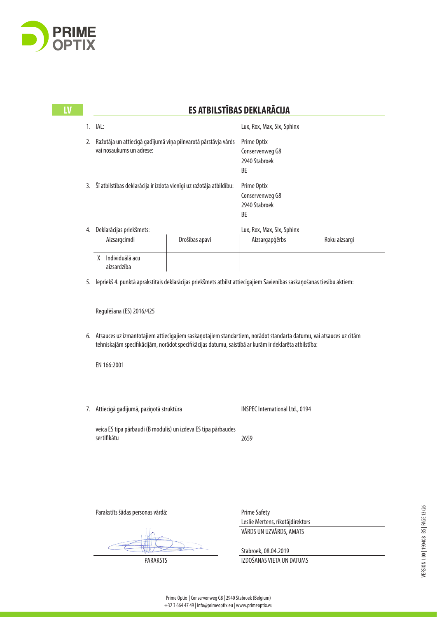

**LV** 

# Lux, Rox, Max, Six, Sphinx Prime Optix Conservenweg G8 2940 Stabroek BE Prime Optix Conservenweg G8 2940 Stabroek BE Lux, Rox, Max, Six, Sphinx X Individuālā acu EN 166:2001 INSPEC International Ltd., 0194 2659 Prime Safety **LV ES ATBILSTĪBAS DEKLARĀCIJA**  1. IAL: 2. Ražotāja un attiecīgā gadījumā viņa pilnvarotā pārstāvja vārds vai nosaukums un adrese: 3. Šī atbilstības deklarācija ir izdota vienīgi uz ražotāja atbildību: 4. Deklarācijas priekšmets: Aizsargcimdi Drošības apavi Aizsargapģērbs Roku aizsargi aizsardzība 5. Iepriekš 4. punktā aprakstītais deklarācijas priekšmets atbilst attiecīgajiem Savienības saskaņošanas tiesību aktiem: Regulēšana (ES) 2016/425 6. Atsauces uz izmantotajiem attiecīgajiem saskaņotajiem standartiem, norādot standarta datumu, vai atsauces uz citām tehniskajām specifikācijām, norādot specifikācijas datumu, saistībā ar kurām ir deklarēta atbilstība: 7. Attiecīgā gadījumā, paziņotā struktūra veica ES tipa pārbaudi (B modulis) un izdeva ES tipa pārbaudes sertifikātu Parakstīts šādas personas vārdā: Leslie Mertens, rīkotājdirektors VĀRDS UN UZVĀRDS, AMATS

Stabroek, 08.04.2019

PARAKSTS IZDOŠANAS VIETA UN DATUMS

Prime Optix | Conservenweg G8 | 2940 Stabroek (Belgium)

+32 3 664 47 49 | info@primeoptix.eu | www.primeoptix.eu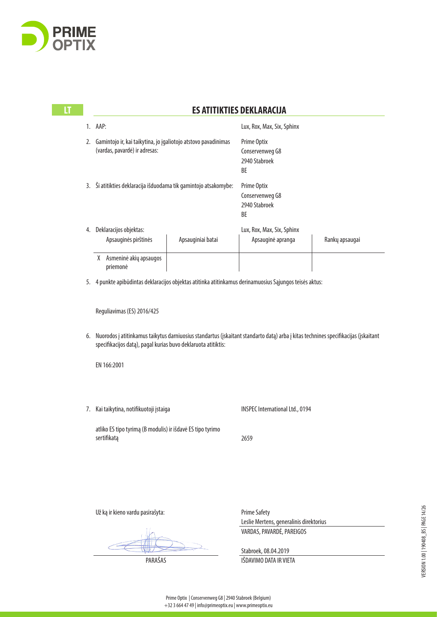

 $\mathbf{H}$ 

# Lux, Rox, Max, Six, Sphinx Prime Optix Conservenweg G8 2940 Stabroek BE Prime Optix Conservenweg G8 2940 Stabroek BE Lux, Rox, Max, Six, Sphinx X Asmeninė akių apsaugos EN 166:2001 INSPEC International Ltd., 0194 2659 Prime Safety **LES ATITIKTIES DEKLARACIJA** 1. AAP: 2. Gamintojo ir, kai taikytina, jo įgaliotojo atstovo pavadinimas (vardas, pavardė) ir adresas: 3. Ši atitikties deklaracija išduodama tik gamintojo atsakomybe: 4. Deklaracijos objektas: Apsauginės pirštinės | Apsauginiai batai | Apsauginė apranga | Rankų apsaugai priemonė 5. 4 punkte apibūdintas deklaracijos objektas atitinka atitinkamus derinamuosius Sąjungos teisės aktus: Reguliavimas (ES) 2016/425 6. Nuorodos į atitinkamus taikytus darniuosius standartus (įskaitant standarto datą) arba į kitas technines specifikacijas (įskaitant specifikacijos datą), pagal kurias buvo deklaruota atitiktis: 7. Kai taikytina, notifikuotoji įstaiga atliko ES tipo tyrimą (B modulis) ir išdavė ES tipo tyrimo sertifikatą Už ką ir kieno vardu pasirašyta: Leslie Mertens, generalinis direktorius VARDAS, PAVARDĖ, PAREIGOS

VERSION 1.00 | 190408\_BS | PAGE 14/26 VERSION 1.00 | 190408\_BS | PAGE 14/26

Stabroek, 08.04.2019

PARAŠAS PARAŠAS IŠDAVIMO DATA IR VIETA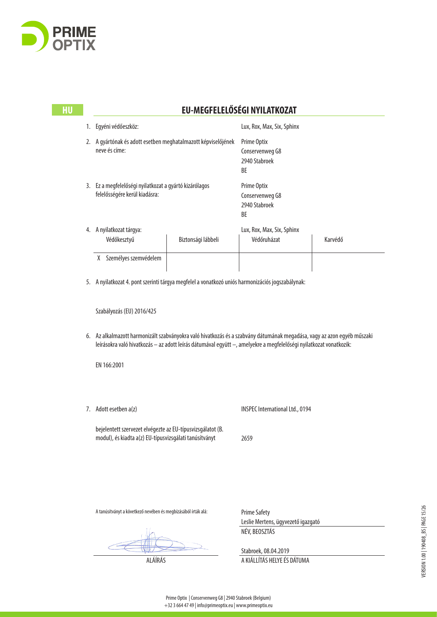

## **HU EU-MEGFELELŐSÉGI NYILATKOZAT**

|    | Egyéni védőeszköz:                                                                   |  | Lux, Rox, Max, Six, Sphinx                            |         |  |
|----|--------------------------------------------------------------------------------------|--|-------------------------------------------------------|---------|--|
|    | A gyártónak és adott esetben meghatalmazott képviselőjének<br>neve és címe:          |  | Prime Optix<br>Conservenweg G8<br>2940 Stabroek<br>ВE |         |  |
| 3. | Ez a megfelelőségi nyilatkozat a gyártó kizárólagos<br>felelősségére kerül kiadásra: |  | Prime Optix<br>Conservenweg G8<br>2940 Stabroek<br>BE |         |  |
| 4. | A nyilatkozat tárgya:<br>Védőkesztyű<br>Biztonsági lábbeli                           |  | Lux, Rox, Max, Six, Sphinx<br>Védőruházat             | Karvédő |  |
|    | Személyes szemvédelem<br>χ                                                           |  |                                                       |         |  |

5. A nyilatkozat 4. pont szerinti tárgya megfelel a vonatkozó uniós harmonizációs jogszabálynak:

Szabályozás (EU) 2016/425

6. Az alkalmazott harmonizált szabványokra való hivatkozás és a szabvány dátumának megadása, vagy az azon egyéb műszaki leírásokra való hivatkozás – az adott leírás dátumával együtt –, amelyekre a megfelelőségi nyilatkozat vonatkozik:

EN 166:2001

7. Adott esetben a(z)

INSPEC International Ltd., 0194

bejelentett szervezet elvégezte az EU-típusvizsgálatot (B. modul), és kiadta a(z) EU-típusvizsgálati tanúsítványt

2659

A tanúsítványt a következő nevében és megbízásából írták alá:

Prime Safety Leslie Mertens, ügyvezető igazgató NÉV, BEOSZTÁS

Stabroek, 08.04.2019 ALÁÍRÁS A KIÁLLÍTÁS HELYE ÉS DÁTUMA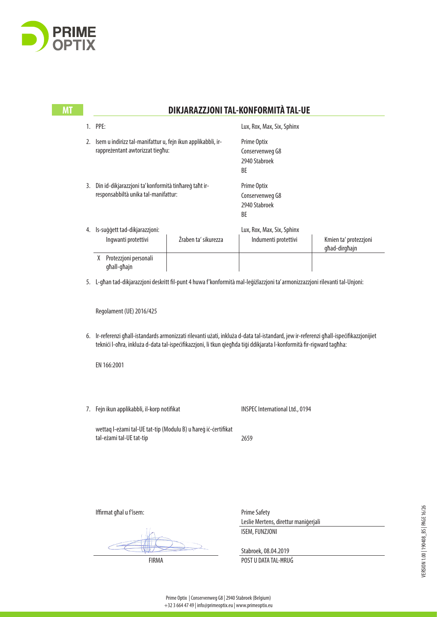

|    | 1. PPE:<br>Isem u indirizz tal-manifattur u, fejn ikun applikabbli, ir-<br>rappreżentant awtorizzat tiegħu:<br>Din id-dikjarazzjoni ta' konformità tinhareg taht ir-<br>responsabbiltà unika tal-manifattur: |                                              | Lux, Rox, Max, Six, Sphinx                                                                                     |                                                                                                                                                                                                                                                                                                                                                                                                    |
|----|--------------------------------------------------------------------------------------------------------------------------------------------------------------------------------------------------------------|----------------------------------------------|----------------------------------------------------------------------------------------------------------------|----------------------------------------------------------------------------------------------------------------------------------------------------------------------------------------------------------------------------------------------------------------------------------------------------------------------------------------------------------------------------------------------------|
|    |                                                                                                                                                                                                              |                                              | Prime Optix<br>Conservenweg G8<br>2940 Stabroek<br>BE<br>Prime Optix<br>Conservenweg G8<br>2940 Stabroek<br>BE |                                                                                                                                                                                                                                                                                                                                                                                                    |
| 3. |                                                                                                                                                                                                              |                                              |                                                                                                                |                                                                                                                                                                                                                                                                                                                                                                                                    |
|    | Ingwanti protettivi                                                                                                                                                                                          | Żraben ta' sikurezza                         | Lux, Rox, Max, Six, Sphinx<br>Indumenti protettivi                                                             | Kmien ta' protezzjoni<br>għad-dirgħajn                                                                                                                                                                                                                                                                                                                                                             |
|    | X Protezzjoni personali<br>għall-għajn                                                                                                                                                                       |                                              |                                                                                                                |                                                                                                                                                                                                                                                                                                                                                                                                    |
|    |                                                                                                                                                                                                              |                                              |                                                                                                                |                                                                                                                                                                                                                                                                                                                                                                                                    |
|    | Regolament (UE) 2016/425                                                                                                                                                                                     |                                              |                                                                                                                |                                                                                                                                                                                                                                                                                                                                                                                                    |
|    |                                                                                                                                                                                                              |                                              |                                                                                                                |                                                                                                                                                                                                                                                                                                                                                                                                    |
|    | EN 166:2001                                                                                                                                                                                                  |                                              |                                                                                                                |                                                                                                                                                                                                                                                                                                                                                                                                    |
|    |                                                                                                                                                                                                              |                                              | <b>INSPEC International Ltd., 0194</b>                                                                         |                                                                                                                                                                                                                                                                                                                                                                                                    |
|    | tal-eżami tal-UE tat-tip                                                                                                                                                                                     |                                              | 2659                                                                                                           |                                                                                                                                                                                                                                                                                                                                                                                                    |
|    |                                                                                                                                                                                                              | 2.<br>4. Is-suģģett tad-dikjarazzjoni:<br>7. | Fejn ikun applikabbli, il-korp notifikat<br>wettaq I-eżami tal-UE tat-tip (Modulu B) u ħareġ iċ-ċertifikat     | 5. L-għan tad-dikjarazzjoni deskritt fil-punt 4 huwa f'konformità mal-leġiżlazzjoni ta' armonizzazzjoni rilevanti tal-Unjoni:<br>6. Ir-referenzi ghall-istandards armonizzati rilevanti użati, inkluża d-data tal-istandard, jew ir-referenzi ghall-ispecifikazzjonijiet<br>teknici l-ofira, inkluża d-data tal-ispecifikazzjoni, li tkun qiegħda tiqi ddikjarata l-konformità fir-rigward tagħha: |

Iffirmat għal u f'isem:

Prime Safety Leslie Mertens, direttur maniġerjali ISEM, FUNZJONI

Stabroek, 08.04.2019

FIRMA POST U DATA TAL-ĦRUĠ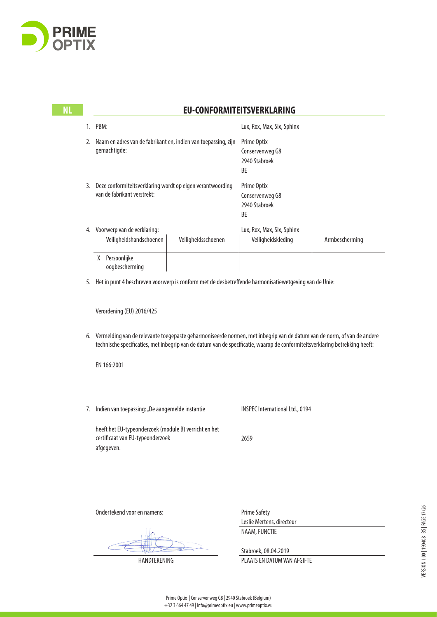

**NI** 

### **NL EU-CONFORMITEITSVERKLARING**

|    | PBM:                                                                                                                 |  | Lux, Rox, Max, Six, Sphinx                            |                |  |
|----|----------------------------------------------------------------------------------------------------------------------|--|-------------------------------------------------------|----------------|--|
| 2. | Naam en adres van de fabrikant en, indien van toepassing, zijn<br>gemachtigde:                                       |  | Prime Optix<br>Conservenweg G8<br>2940 Stabroek<br>BE |                |  |
| 3. | Deze conformiteitsverklaring wordt op eigen verantwoording<br>van de fabrikant verstrekt:                            |  | Prime Optix<br>Conservenweg G8<br>2940 Stabroek<br>BE |                |  |
| 4. | Voorwerp van de verklaring:<br>Veiligheidshandschoenen<br>Veiligheidsschoenen<br>Persoonlijke<br>X<br>oogbescherming |  | Lux, Rox, Max, Six, Sphinx<br>Veiligheidskleding      | Armbescherming |  |
|    |                                                                                                                      |  |                                                       |                |  |

5. Het in punt 4 beschreven voorwerp is conform met de desbetreffende harmonisatiewetgeving van de Unie:

Verordening (EU) 2016/425

6. Vermelding van de relevante toegepaste geharmoniseerde normen, met inbegrip van de datum van de norm, of van de andere technische specificaties, met inbegrip van de datum van de specificatie, waarop de conformiteitsverklaring betrekking heeft:

EN 166:2001

7. Indien van toepassing: "De aangemelde instantie

INSPEC International Ltd., 0194

heeft het EU-typeonderzoek (module B) verricht en het certificaat van EU-typeonderzoek afgegeven.

2659

Ondertekend voor en namens:

Prime Safety Leslie Mertens, directeur NAAM, FUNCTIE

Stabroek, 08.04.2019 HANDTEKENING PLAATS EN DATUM VAN AFGIFTE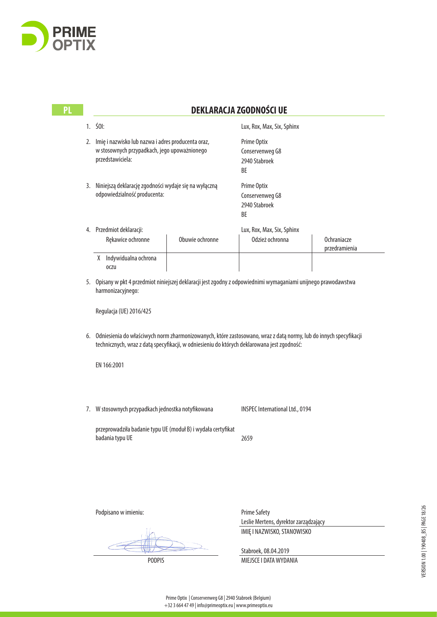

| PL |    | <b>DEKLARACJA ZGODNOŚCI UE</b>                                                                                                                                                                                  |                                                                                             |                                                                                                                      |                              |  |
|----|----|-----------------------------------------------------------------------------------------------------------------------------------------------------------------------------------------------------------------|---------------------------------------------------------------------------------------------|----------------------------------------------------------------------------------------------------------------------|------------------------------|--|
|    |    | $1.501$ :                                                                                                                                                                                                       |                                                                                             | Lux, Rox, Max, Six, Sphinx                                                                                           |                              |  |
|    | 2. | Imię i nazwisko lub nazwa i adres producenta oraz,<br>w stosownych przypadkach, jego upoważnionego<br>przedstawiciela:<br>Niniejszą deklarację zgodności wydaje się na wyłączną<br>odpowiedzialność producenta: |                                                                                             | Prime Optix<br>Conservenweg G8<br>2940 Stabroek<br>BE                                                                |                              |  |
|    | 3. |                                                                                                                                                                                                                 |                                                                                             | Prime Optix<br>Conservenweg G8<br>2940 Stabroek<br>BE                                                                |                              |  |
|    |    | 4. Przedmiot deklaracji:<br>Rękawice ochronne                                                                                                                                                                   | Obuwie ochronne                                                                             | Lux, Rox, Max, Six, Sphinx<br>Odzież ochronna                                                                        | Ochraniacze<br>przedramienia |  |
|    |    | X Indywidualna ochrona<br><b>OCZU</b>                                                                                                                                                                           |                                                                                             |                                                                                                                      |                              |  |
|    |    | harmonizacyjnego:                                                                                                                                                                                               |                                                                                             | 5. Opisany w pkt 4 przedmiot niniejszej deklaracji jest zgodny z odpowiednimi wymaganiami unijnego prawodawstwa      |                              |  |
|    |    | Regulacja (UE) 2016/425                                                                                                                                                                                         |                                                                                             |                                                                                                                      |                              |  |
|    |    |                                                                                                                                                                                                                 | technicznych, wraz z datą specyfikacji, w odniesieniu do których deklarowana jest zgodność: | 6. Odniesienia do właściwych norm zharmonizowanych, które zastosowano, wraz z datą normy, lub do innych specyfikacji |                              |  |
|    |    | EN 166:2001                                                                                                                                                                                                     |                                                                                             |                                                                                                                      |                              |  |
|    | 7. | W stosownych przypadkach jednostka notyfikowana                                                                                                                                                                 |                                                                                             | INSPEC International Ltd., 0194                                                                                      |                              |  |
|    |    | przeprowadziła badanie typu UE (moduł B) i wydała certyfikat<br>badania typu UE                                                                                                                                 |                                                                                             | 2659                                                                                                                 |                              |  |
|    |    |                                                                                                                                                                                                                 |                                                                                             |                                                                                                                      |                              |  |
|    |    |                                                                                                                                                                                                                 |                                                                                             |                                                                                                                      |                              |  |
|    |    | Podpisano w imieniu:                                                                                                                                                                                            |                                                                                             | <b>Prime Safety</b><br>Leslie Mertens, dyrektor zarządzający                                                         |                              |  |
|    |    |                                                                                                                                                                                                                 |                                                                                             | IMIĘ I NAZWISKO, STANOWISKO                                                                                          |                              |  |
|    |    |                                                                                                                                                                                                                 |                                                                                             | Stabroek, 08.04.2019                                                                                                 |                              |  |

PODPIS MIEJSCE I DATA WYDANIA

Prime Optix | Conservenweg G8 | 2940 Stabroek (Belgium)

+32 3 664 47 49 | info@primeoptix.eu | www.primeoptix.eu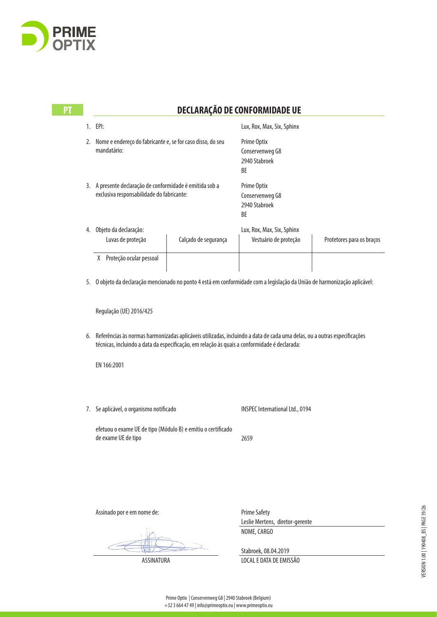

| PT |    | DECLARAÇÃO DE CONFORMIDADE UE                                                                         |                      |                                                                                                                          |                           |  |
|----|----|-------------------------------------------------------------------------------------------------------|----------------------|--------------------------------------------------------------------------------------------------------------------------|---------------------------|--|
|    | 1. | EPI:                                                                                                  |                      | Lux, Rox, Max, Six, Sphinx                                                                                               |                           |  |
|    | 2. | Nome e endereço do fabricante e, se for caso disso, do seu<br>mandatário:                             |                      | Prime Optix<br>Conservenweg G8<br>2940 Stabroek<br><b>BF</b>                                                             |                           |  |
|    |    | 3. A presente declaração de conformidade é emitida sob a<br>exclusiva responsabilidade do fabricante: |                      | Prime Optix<br>Conservenweg G8<br>2940 Stabroek<br>BE                                                                    |                           |  |
|    | 4. | Objeto da declaração:                                                                                 |                      | Lux, Rox, Max, Six, Sphinx                                                                                               |                           |  |
|    |    | Luvas de proteção                                                                                     | Calçado de segurança | Vestuário de proteção                                                                                                    | Protetores para os braços |  |
|    |    | X Proteção ocular pessoal                                                                             |                      |                                                                                                                          |                           |  |
|    | 5. |                                                                                                       |                      | O objeto da declaração mencionado no ponto 4 está em conformidade com a legislação da União de harmonização aplicável:   |                           |  |
|    |    | Regulação (UE) 2016/425                                                                               |                      |                                                                                                                          |                           |  |
|    | 6. | técnicas, incluindo a data da especificação, em relação às quais a conformidade é declarada:          |                      | Referências às normas harmonizadas aplicáveis utilizadas, incluindo a data de cada uma delas, ou a outras especificações |                           |  |
|    |    | EN 166:2001                                                                                           |                      |                                                                                                                          |                           |  |
|    | 7. | Se aplicável, o organismo notificado                                                                  |                      | <b>INSPEC International Ltd., 0194</b>                                                                                   |                           |  |
|    |    | efetuou o exame UE de tipo (Módulo B) e emitiu o certificado<br>de exame UE de tipo                   |                      | 2659                                                                                                                     |                           |  |

Assinado por e em nome de:

Prime Safety Leslie Mertens, diretor-gerente NOME, CARGO

Stabroek, 08.04.2019 ASSINATURA LOCAL E DATA DE EMISSÃO VERSION 1.00 | 190408\_BS | PAGE 19/26 VERSION 1.00 | 190408\_BS | PAGE 19/26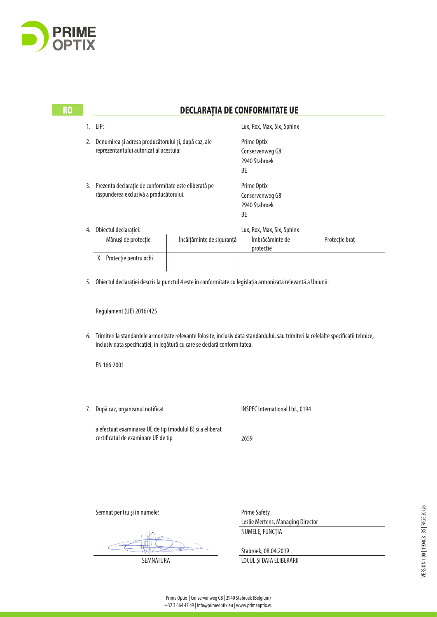

|    | <b>DECLARAȚIA DE CONFORMITATE UE</b>                                                                                                                                                                               |                                                            |                |  |
|----|--------------------------------------------------------------------------------------------------------------------------------------------------------------------------------------------------------------------|------------------------------------------------------------|----------------|--|
|    | 1. EIP:                                                                                                                                                                                                            | Lux, Rox, Max, Six, Sphinx                                 |                |  |
| 2. | Denumirea și adresa producătorului și, după caz, ale<br>reprezentantului autorizat al acestuia:                                                                                                                    | Prime Optix<br>Conservenweg G8<br>2940 Stabroek<br>BE      |                |  |
|    | 3. Prezenta declarație de conformitate este eliberată pe<br>răspunderea exclusivă a producătorului.                                                                                                                | Prime Optix<br>Conservenweg G8<br>2940 Stabroek<br>BE      |                |  |
|    | 4. Obiectul declarației:<br>Mănuși de protecție<br>Încălțăminte de siguranță                                                                                                                                       | Lux, Rox, Max, Six, Sphinx<br>Îmbrăcăminte de<br>protecție | Protecție braț |  |
|    | X Protecție pentru ochi                                                                                                                                                                                            |                                                            |                |  |
|    | 5. Obiectul declarației descris la punctul 4 este în conformitate cu legislația armonizată relevantă a Uniunii:                                                                                                    |                                                            |                |  |
|    | Regulament (UE) 2016/425                                                                                                                                                                                           |                                                            |                |  |
| 6. | Trimiteri la standardele armonizate relevante folosite, inclusiv data standardului, sau trimiteri la celelalte specificații tehnice,<br>inclusiv data specificației, în legătură cu care se declară conformitatea. |                                                            |                |  |
|    | EN 166:2001                                                                                                                                                                                                        |                                                            |                |  |
| 7. | După caz, organismul notificat                                                                                                                                                                                     | <b>INSPEC International Ltd., 0194</b>                     |                |  |
|    | a efectuat examinarea UE de tip (modulul B) și a eliberat<br>certificatul de examinare UE de tip                                                                                                                   | 2659                                                       |                |  |
|    |                                                                                                                                                                                                                    |                                                            |                |  |
|    | Semnat pentru și în numele:                                                                                                                                                                                        | <b>Prime Safety</b><br>Leslie Mertens, Managing Director   |                |  |
|    |                                                                                                                                                                                                                    | NUMELE, FUNCȚIA                                            |                |  |

Stabroek, 08.04.2019

SEMNĂTURA LOCUL ȘI DATA ELIBERĂRII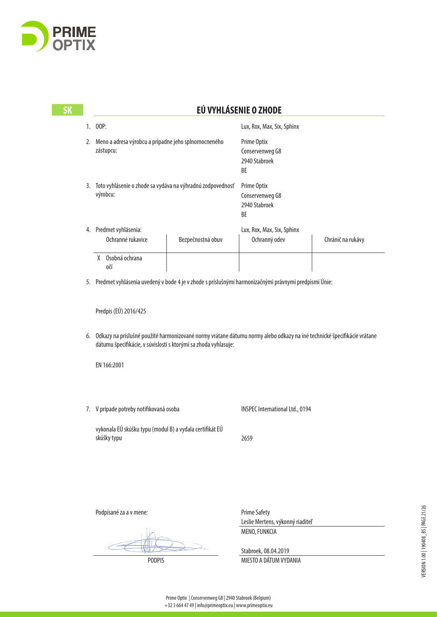

| <b>SK</b> |                                                                                                                                                                                               |                   | EÚ VYHLÁSENIE O ZHODE                                   |                   |
|-----------|-----------------------------------------------------------------------------------------------------------------------------------------------------------------------------------------------|-------------------|---------------------------------------------------------|-------------------|
|           | 1. 00P:                                                                                                                                                                                       |                   | Lux, Rox, Max, Six, Sphinx                              |                   |
|           | 2. Meno a adresa výrobcu a prípadne jeho splnomocneného<br>zástupcu:                                                                                                                          |                   | Prime Optix<br>Conservenweg G8<br>2940 Stabroek<br>BE   |                   |
|           | 3. Toto vyhlásenie o zhode sa vydáva na výhradnú zodpovednosť<br>výrobcu:                                                                                                                     |                   | Prime Optix<br>Conservenweg G8<br>2940 Stabroek<br>BE   |                   |
|           | 4. Predmet vyhlásenia:<br>Ochranné rukavice                                                                                                                                                   | Bezpečnostná obuv | Lux, Rox, Max, Six, Sphinx<br>Ochranný odev             | Chránič na rukávy |
|           | X Osobná ochrana<br>0ČÍ                                                                                                                                                                       |                   |                                                         |                   |
|           | 5. Predmet vyhlásenia uvedený v bode 4 je v zhode s príslušnými harmonizačnými právnymi predpismi Únie:                                                                                       |                   |                                                         |                   |
|           | Predpis (EÚ) 2016/425                                                                                                                                                                         |                   |                                                         |                   |
|           | 6. Odkazy na príslušné použité harmonizované normy vrátane dátumu normy alebo odkazy na iné technické špecifikácie vrátane<br>dátumu špecifikácie, v súvislosti s ktorými sa zhoda vyhlasuje: |                   |                                                         |                   |
|           | EN 166:2001                                                                                                                                                                                   |                   |                                                         |                   |
|           | 7. V prípade potreby notifikovaná osoba                                                                                                                                                       |                   | INSPEC International Ltd., 0194                         |                   |
|           | vykonala EÚ skúšku typu (modul B) a vydala certifikát EÚ<br>skúšky typu                                                                                                                       |                   | 2659                                                    |                   |
|           |                                                                                                                                                                                               |                   |                                                         |                   |
|           | Podpísané za a v mene:                                                                                                                                                                        |                   | <b>Prime Safety</b><br>Leslie Mertens, výkonný riaditeľ |                   |
|           |                                                                                                                                                                                               |                   | MENO, FUNKCIA                                           |                   |

VERSION 1.00 | 190408\_BS | PAGE 21/26 VERSION 1.00 | 190408\_BS | PAGE 21/26

 $\geq$ 

 $\subset$ 

WU

PODPIS MIESTO A DÁTUM VYDANIA

Stabroek, 08.04.2019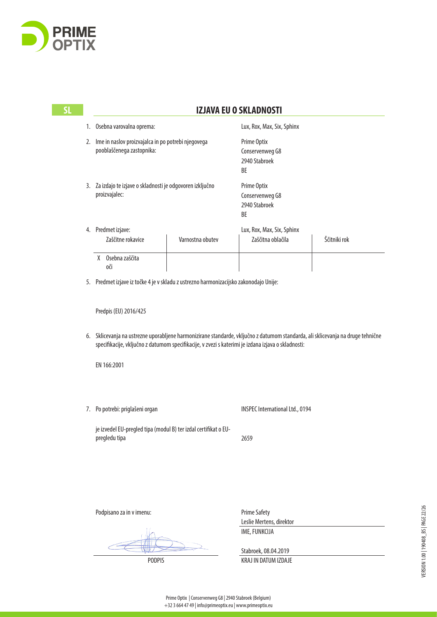

|  | 1. Osebna varovalna oprema:<br>2. Ime in naslov proizvajalca in po potrebi njegovega<br>pooblaščenega zastopnika: |                                                                 | Lux, Rox, Max, Six, Sphinx<br>Prime Optix<br>Conservenweg G8<br>2940 Stabroek<br>BE                                                                                                                                                   |              |
|--|-------------------------------------------------------------------------------------------------------------------|-----------------------------------------------------------------|---------------------------------------------------------------------------------------------------------------------------------------------------------------------------------------------------------------------------------------|--------------|
|  |                                                                                                                   |                                                                 |                                                                                                                                                                                                                                       |              |
|  | 3. Za izdajo te izjave o skladnosti je odgovoren izključno<br>proizvajalec:                                       |                                                                 | Prime Optix<br>Conservenweg G8<br>2940 Stabroek<br>BE                                                                                                                                                                                 |              |
|  | 4. Predmet izjave:                                                                                                |                                                                 | Lux, Rox, Max, Six, Sphinx                                                                                                                                                                                                            |              |
|  | Zaščitne rokavice                                                                                                 | Varnostna obutev                                                | Zaščitna oblačila                                                                                                                                                                                                                     | Ščitniki rok |
|  | X Osebna zaščita<br>оčі                                                                                           |                                                                 |                                                                                                                                                                                                                                       |              |
|  | 5. Predmet izjave iz točke 4 je v skladu z ustrezno harmonizacijsko zakonodajo Unije:                             |                                                                 |                                                                                                                                                                                                                                       |              |
|  | Predpis (EU) 2016/425                                                                                             |                                                                 |                                                                                                                                                                                                                                       |              |
|  |                                                                                                                   |                                                                 |                                                                                                                                                                                                                                       |              |
|  |                                                                                                                   |                                                                 | 6. Sklicevanja na ustrezne uporabljene harmonizirane standarde, vključno z datumom standarda, ali sklicevanja na druge tehnične<br>specifikacije, vključno z datumom specifikacije, v zvezi s katerimi je izdana izjava o skladnosti: |              |
|  | EN 166:2001                                                                                                       |                                                                 |                                                                                                                                                                                                                                       |              |
|  | 7. Po potrebi: priglašeni organ                                                                                   |                                                                 | INSPEC International Ltd., 0194                                                                                                                                                                                                       |              |
|  | pregledu tipa                                                                                                     | je izvedel EU-pregled tipa (modul B) ter izdal certifikat o EU- | 2659                                                                                                                                                                                                                                  |              |
|  |                                                                                                                   |                                                                 |                                                                                                                                                                                                                                       |              |

Podpisano za in v imenu:

Prime Safety Leslie Mertens, direktor IME, FUNKCIJA

Stabroek, 08.04.2019 PODPIS KRAJ IN DATUM IZDAJE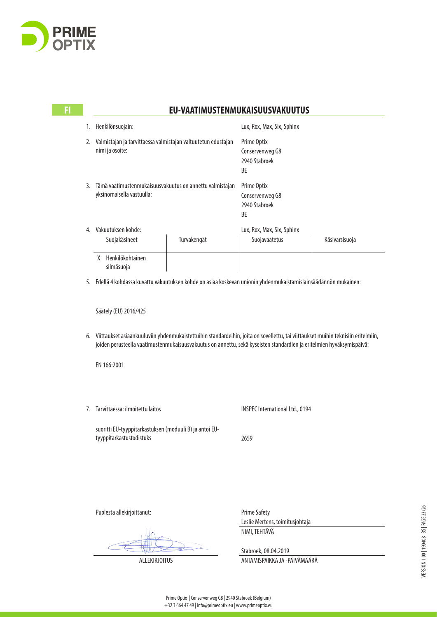

### **FI EU-VAATIMUSTENMUKAISUUSVAKUUTUS**

| 1. | Henkilönsuojain:                                                                      |  | Lux, Rox, Max, Six, Sphinx                                   |                |  |
|----|---------------------------------------------------------------------------------------|--|--------------------------------------------------------------|----------------|--|
| 2. | Valmistajan ja tarvittaessa valmistajan valtuutetun edustajan<br>nimi ja osoite:      |  | Prime Optix<br>Conservenweg G8<br>2940 Stabroek<br><b>BF</b> |                |  |
| 3. | Tämä vaatimustenmukaisuusvakuutus on annettu valmistajan<br>yksinomaisella vastuulla: |  | Prime Optix<br>Conservenweg G8<br>2940 Stabroek<br>BE        |                |  |
| 4. | Vakuutuksen kohde:                                                                    |  | Lux, Rox, Max, Six, Sphinx                                   |                |  |
|    | Turvakengät<br>Suojakäsineet<br>Henkilökohtainen<br>X                                 |  | Suojavaatetus                                                | Käsivarsisuoja |  |
|    | silmäsuoja                                                                            |  |                                                              |                |  |

5. Edellä 4 kohdassa kuvattu vakuutuksen kohde on asiaa koskevan unionin yhdenmukaistamislainsäädännön mukainen:

Säätely (EU) 2016/425

6. Viittaukset asiaankuuluviin yhdenmukaistettuihin standardeihin, joita on sovellettu, tai viittaukset muihin teknisiin eritelmiin, joiden perusteella vaatimustenmukaisuusvakuutus on annettu, sekä kyseisten standardien ja eritelmien hyväksymispäivä:

EN 166:2001

7. Tarvittaessa: ilmoitettu laitos

INSPEC International Ltd., 0194

suoritti EU-tyyppitarkastuksen (moduuli B) ja antoi EUtyyppitarkastustodistuks

2659

Puolesta allekirjoittanut:

Prime Safety Leslie Mertens, toimitusjohtaja NIMI, TEHTÄVÄ

Stabroek, 08.04.2019

ALLEKIRJOITUS ANTAMISPAIKKA JA -PÄIVÄMÄÄRÄ

**DE**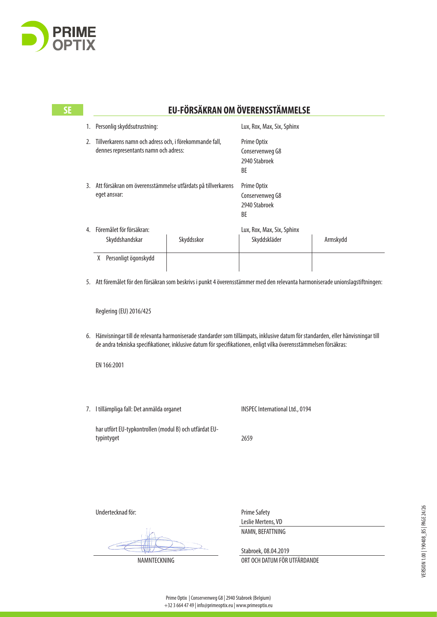

# **SE EU-FÖRSÄKRAN OM ÖVERENSSTÄMMELSE**

| 1. | Personlig skyddsutrustning:                                                                      |  | Lux, Rox, Max, Six, Sphinx                                   |          |  |
|----|--------------------------------------------------------------------------------------------------|--|--------------------------------------------------------------|----------|--|
| 2. | Tillverkarens namn och adress och, i förekommande fall,<br>dennes representants namn och adress: |  | Prime Optix<br>Conservenweg G8<br>2940 Stabroek<br>ВE        |          |  |
| 3. | Att försäkran om överensstämmelse utfärdats på tillverkarens<br>eget ansvar:                     |  | <b>Prime Optix</b><br>Conservenweg G8<br>2940 Stabroek<br>BE |          |  |
| 4. | Föremålet för försäkran:<br>Skyddsskor<br>Skyddshandskar                                         |  | Lux, Rox, Max, Six, Sphinx<br>Skyddskläder                   | Armskydd |  |
|    | Personligt ögonskydd<br>X                                                                        |  |                                                              |          |  |

5. Att föremålet för den försäkran som beskrivs i punkt 4 överensstämmer med den relevanta harmoniserade unionslagstiftningen:

Reglering (EU) 2016/425

6. Hänvisningar till de relevanta harmoniserade standarder som tillämpats, inklusive datum för standarden, eller hänvisningar till de andra tekniska specifikationer, inklusive datum för specifikationen, enligt vilka överensstämmelsen försäkras:

EN 166:2001

7. I tillämpliga fall: Det anmälda organet

INSPEC International Ltd., 0194

har utfört EU-typkontrollen (modul B) och utfärdat EUtypintyget

2659

Undertecknad för:

Prime Safety Leslie Mertens, VD NAMN, BEFATTNING

Stabroek, 08.04.2019 NAMNTECKNING ORT OCH DATUM FÖR UTFÄRDANDE

**DE**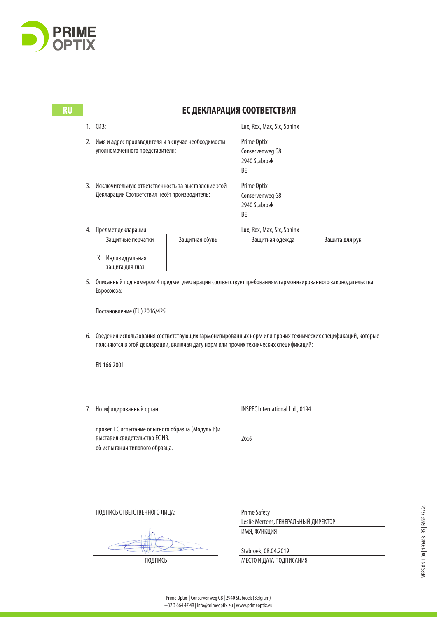

| <b>RU</b> |                                                                                                       | ЕС ДЕКЛАРАЦИЯ СООТВЕТСТВИЯ                                                                                                |                                                       |                                                                                                                                                                                                       |                |  |
|-----------|-------------------------------------------------------------------------------------------------------|---------------------------------------------------------------------------------------------------------------------------|-------------------------------------------------------|-------------------------------------------------------------------------------------------------------------------------------------------------------------------------------------------------------|----------------|--|
|           |                                                                                                       | 1. CM3:                                                                                                                   |                                                       | Lux, Rox, Max, Six, Sphinx                                                                                                                                                                            |                |  |
|           |                                                                                                       | 2. Имя и адрес производителя и в случае необходимости<br>уполномоченного представителя:                                   |                                                       | Prime Optix<br>Conservenweg G8<br>2940 Stabroek<br>BE                                                                                                                                                 |                |  |
|           | 3. Исключительную ответственность за выставление этой<br>Декларации Соответствия несёт производитель: |                                                                                                                           | Prime Optix<br>Conservenweg G8<br>2940 Stabroek<br>BE |                                                                                                                                                                                                       |                |  |
|           |                                                                                                       | 4. Предмет декларации<br>Защитные перчатки                                                                                | Защитная обувь                                        | Lux, Rox, Max, Six, Sphinx<br>Защитная одежда                                                                                                                                                         | Защита для рук |  |
|           |                                                                                                       | Х Индивидуальная<br>защита для глаз                                                                                       |                                                       |                                                                                                                                                                                                       |                |  |
|           |                                                                                                       | 5. Описанный под номером 4 предмет декларации соответствует требованиям гармонизированного законодательства<br>Евросоюза: |                                                       |                                                                                                                                                                                                       |                |  |
|           | Постановление (EU) 2016/425                                                                           |                                                                                                                           |                                                       |                                                                                                                                                                                                       |                |  |
|           |                                                                                                       |                                                                                                                           |                                                       | 6. Сведения использования соответствующих гармонизированных норм или прочих технических спецификаций, которые<br>поясняются в этой декларации, включая дату норм или прочих технических спецификаций: |                |  |
|           |                                                                                                       | EN 166:2001                                                                                                               |                                                       |                                                                                                                                                                                                       |                |  |
|           |                                                                                                       | 7. Нотифицированный орган                                                                                                 |                                                       | INSPEC International Ltd., 0194                                                                                                                                                                       |                |  |
|           |                                                                                                       | провёл ЕС испытание опытного образца (Модуль В)и<br>выставил свидетельство EC NR.<br>об испытании типового образца.       |                                                       | 2659                                                                                                                                                                                                  |                |  |
|           |                                                                                                       |                                                                                                                           |                                                       |                                                                                                                                                                                                       |                |  |
|           |                                                                                                       | ПОДПИСЬ ОТВЕТСТВЕННОГО ЛИЦА:                                                                                              |                                                       | <b>Prime Safety</b>                                                                                                                                                                                   |                |  |
|           |                                                                                                       |                                                                                                                           |                                                       | Leslie Mertens, ГЕНЕРАЛЬНЫЙ ДИРЕКТОР<br>ИМЯ, ФУНКЦИЯ                                                                                                                                                  |                |  |
|           |                                                                                                       |                                                                                                                           |                                                       |                                                                                                                                                                                                       |                |  |
|           |                                                                                                       |                                                                                                                           |                                                       | Stabroek, 08.04.2019                                                                                                                                                                                  |                |  |
|           |                                                                                                       | ПОДПИСЬ                                                                                                                   |                                                       | МЕСТО И ДАТА ПОДПИСАНИЯ                                                                                                                                                                               |                |  |